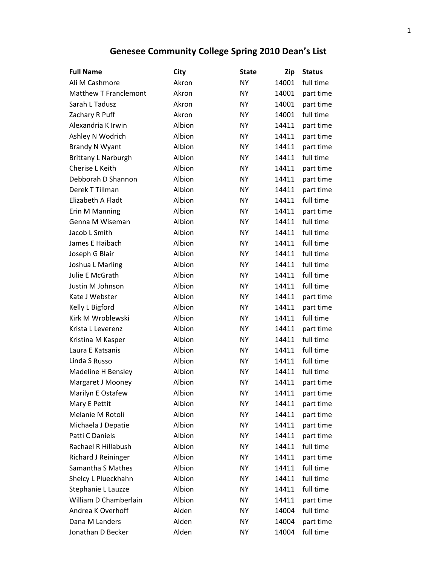## **Genesee Community College Spring 2010 Dean's List**

| <b>Full Name</b>             | <b>City</b> | <b>State</b> | Zip   | <b>Status</b> |
|------------------------------|-------------|--------------|-------|---------------|
| Ali M Cashmore               | Akron       | <b>NY</b>    | 14001 | full time     |
| <b>Matthew T Franclemont</b> | Akron       | <b>NY</b>    | 14001 | part time     |
| Sarah L Tadusz               | Akron       | <b>NY</b>    | 14001 | part time     |
| Zachary R Puff               | Akron       | <b>NY</b>    | 14001 | full time     |
| Alexandria K Irwin           | Albion      | <b>NY</b>    | 14411 | part time     |
| Ashley N Wodrich             | Albion      | <b>NY</b>    | 14411 | part time     |
| <b>Brandy N Wyant</b>        | Albion      | <b>NY</b>    | 14411 | part time     |
| <b>Brittany L Narburgh</b>   | Albion      | <b>NY</b>    | 14411 | full time     |
| Cherise L Keith              | Albion      | <b>NY</b>    | 14411 | part time     |
| Debborah D Shannon           | Albion      | <b>NY</b>    | 14411 | part time     |
| Derek T Tillman              | Albion      | <b>NY</b>    | 14411 | part time     |
| Elizabeth A Fladt            | Albion      | <b>NY</b>    | 14411 | full time     |
| Erin M Manning               | Albion      | <b>NY</b>    | 14411 | part time     |
| Genna M Wiseman              | Albion      | <b>NY</b>    | 14411 | full time     |
| Jacob L Smith                | Albion      | <b>NY</b>    | 14411 | full time     |
| James E Haibach              | Albion      | <b>NY</b>    | 14411 | full time     |
| Joseph G Blair               | Albion      | <b>NY</b>    | 14411 | full time     |
| Joshua L Marling             | Albion      | <b>NY</b>    | 14411 | full time     |
| Julie E McGrath              | Albion      | <b>NY</b>    | 14411 | full time     |
| Justin M Johnson             | Albion      | <b>NY</b>    | 14411 | full time     |
| Kate J Webster               | Albion      | <b>NY</b>    | 14411 | part time     |
| Kelly L Bigford              | Albion      | <b>NY</b>    | 14411 | part time     |
| Kirk M Wroblewski            | Albion      | <b>NY</b>    | 14411 | full time     |
| Krista L Leverenz            | Albion      | <b>NY</b>    | 14411 | part time     |
| Kristina M Kasper            | Albion      | <b>NY</b>    | 14411 | full time     |
| Laura E Katsanis             | Albion      | <b>NY</b>    | 14411 | full time     |
| Linda S Russo                | Albion      | <b>NY</b>    | 14411 | full time     |
| Madeline H Bensley           | Albion      | NΥ           | 14411 | full time     |
| Margaret J Mooney            | Albion      | <b>NY</b>    | 14411 | part time     |
| Marilyn E Ostafew            | Albion      | NΥ           | 14411 | part time     |
| Mary E Pettit                | Albion      | <b>NY</b>    | 14411 | part time     |
| Melanie M Rotoli             | Albion      | NΥ           | 14411 | part time     |
| Michaela J Depatie           | Albion      | <b>NY</b>    | 14411 | part time     |
| Patti C Daniels              | Albion      | NΥ           | 14411 | part time     |
| Rachael R Hillabush          | Albion      | NY.          | 14411 | full time     |
| Richard J Reininger          | Albion      | NΥ           | 14411 | part time     |
| Samantha S Mathes            | Albion      | NΥ           | 14411 | full time     |
| Shelcy L Plueckhahn          | Albion      | NΥ           | 14411 | full time     |
| Stephanie L Lauzze           | Albion      | NY.          | 14411 | full time     |
| William D Chamberlain        | Albion      | NΥ           | 14411 | part time     |
| Andrea K Overhoff            | Alden       | NΥ           | 14004 | full time     |
| Dana M Landers               | Alden       | NΥ           | 14004 | part time     |
| Jonathan D Becker            | Alden       | ΝY           | 14004 | full time     |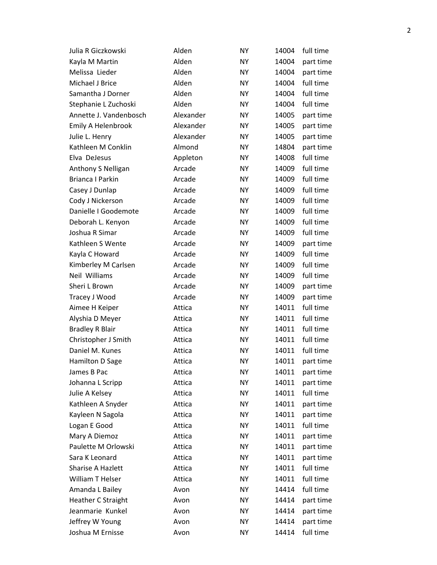| Julia R Giczkowski        | Alden     | <b>NY</b> | 14004 | full time |
|---------------------------|-----------|-----------|-------|-----------|
| Kayla M Martin            | Alden     | <b>NY</b> | 14004 | part time |
| Melissa Lieder            | Alden     | <b>NY</b> | 14004 | part time |
| Michael J Brice           | Alden     | <b>NY</b> | 14004 | full time |
| Samantha J Dorner         | Alden     | <b>NY</b> | 14004 | full time |
| Stephanie L Zuchoski      | Alden     | <b>NY</b> | 14004 | full time |
| Annette J. Vandenbosch    | Alexander | <b>NY</b> | 14005 | part time |
| Emily A Helenbrook        | Alexander | <b>NY</b> | 14005 | part time |
| Julie L. Henry            | Alexander | <b>NY</b> | 14005 | part time |
| Kathleen M Conklin        | Almond    | NY.       | 14804 | part time |
| Elva DeJesus              | Appleton  | <b>NY</b> | 14008 | full time |
| Anthony S Nelligan        | Arcade    | <b>NY</b> | 14009 | full time |
| Brianca I Parkin          | Arcade    | <b>NY</b> | 14009 | full time |
| Casey J Dunlap            | Arcade    | <b>NY</b> | 14009 | full time |
| Cody J Nickerson          | Arcade    | <b>NY</b> | 14009 | full time |
| Danielle I Goodemote      | Arcade    | <b>NY</b> | 14009 | full time |
| Deborah L. Kenyon         | Arcade    | <b>NY</b> | 14009 | full time |
| Joshua R Simar            | Arcade    | <b>NY</b> | 14009 | full time |
| Kathleen S Wente          | Arcade    | <b>NY</b> | 14009 | part time |
| Kayla C Howard            | Arcade    | <b>NY</b> | 14009 | full time |
| Kimberley M Carlsen       | Arcade    | <b>NY</b> | 14009 | full time |
| Neil Williams             | Arcade    | <b>NY</b> | 14009 | full time |
| Sheri L Brown             | Arcade    | <b>NY</b> | 14009 | part time |
| Tracey J Wood             | Arcade    | <b>NY</b> | 14009 | part time |
| Aimee H Keiper            | Attica    | <b>NY</b> | 14011 | full time |
| Alyshia D Meyer           | Attica    | <b>NY</b> | 14011 | full time |
| <b>Bradley R Blair</b>    | Attica    | <b>NY</b> | 14011 | full time |
| Christopher J Smith       | Attica    | <b>NY</b> | 14011 | full time |
| Daniel M. Kunes           | Attica    | NΥ        | 14011 | full time |
| Hamilton D Sage           | Attica    | <b>NY</b> | 14011 | part time |
| James B Pac               | Attica    | <b>NY</b> | 14011 | part time |
| Johanna L Scripp          | Attica    | <b>NY</b> | 14011 | part time |
| Julie A Kelsey            | Attica    | NY        | 14011 | full time |
| Kathleen A Snyder         | Attica    | <b>NY</b> | 14011 | part time |
| Kayleen N Sagola          | Attica    | ΝY        | 14011 | part time |
| Logan E Good              | Attica    | <b>NY</b> | 14011 | full time |
| Mary A Diemoz             | Attica    | NY        | 14011 | part time |
| Paulette M Orlowski       | Attica    | <b>NY</b> | 14011 | part time |
| Sara K Leonard            | Attica    | ΝY        | 14011 | part time |
| Sharise A Hazlett         | Attica    | NΥ        | 14011 | full time |
| William T Helser          | Attica    | <b>NY</b> | 14011 | full time |
| Amanda L Bailey           | Avon      | <b>NY</b> | 14414 | full time |
| <b>Heather C Straight</b> | Avon      | ΝY        | 14414 | part time |
| Jeanmarie Kunkel          | Avon      | <b>NY</b> | 14414 | part time |
| Jeffrey W Young           | Avon      | <b>NY</b> | 14414 | part time |
| Joshua M Ernisse          | Avon      | NY        | 14414 | full time |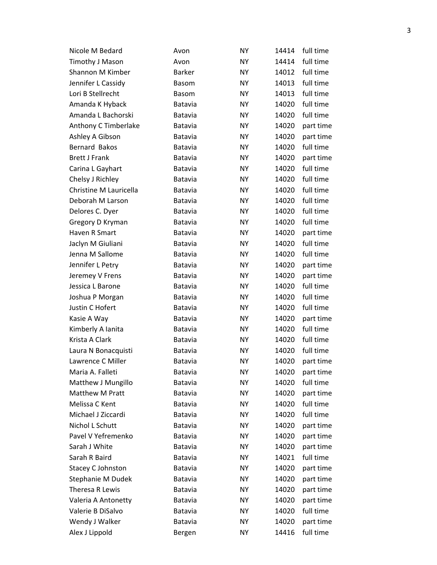| full time<br><b>NY</b><br>Timothy J Mason<br>Avon<br>14414<br>full time<br>Shannon M Kimber<br><b>Barker</b><br><b>NY</b><br>14012<br>full time<br>Jennifer L Cassidy<br><b>NY</b><br>14013<br><b>Basom</b><br>Lori B Stellrecht<br>full time<br>NY.<br>14013<br>Basom<br>full time<br>Amanda K Hyback<br><b>NY</b><br>Batavia<br>14020<br>Amanda L Bachorski<br>full time<br><b>NY</b><br>Batavia<br>14020<br>Anthony C Timberlake<br><b>NY</b><br>14020<br>Batavia<br>Ashley A Gibson<br>Batavia<br>NY.<br>14020<br>full time<br>Bernard Bakos<br>Batavia<br>NY.<br>14020<br><b>Brett J Frank</b><br>part time<br>Batavia<br>NY.<br>14020<br>full time<br><b>NY</b><br>14020<br>Carina L Gayhart<br>Batavia<br>full time<br>Chelsy J Richley<br>Batavia<br>NY.<br>14020<br>full time<br>Christine M Lauricella<br>Batavia<br>NY.<br>14020<br>full time<br>Deborah M Larson<br><b>NY</b><br>Batavia<br>14020<br>full time<br>Delores C. Dyer<br><b>NY</b><br>14020<br>Batavia<br>full time<br>Gregory D Kryman<br>Batavia<br>NY.<br>14020<br>Haven R Smart<br>Batavia<br>NY.<br>14020<br>full time<br>Jaclyn M Giuliani<br><b>NY</b><br>Batavia<br>14020<br>full time<br>Jenna M Sallome<br>Batavia<br><b>NY</b><br>14020<br>Jennifer L Petry<br>Batavia<br>NY.<br>14020<br>Jeremey V Frens<br>Batavia<br>NY.<br>14020<br>full time<br>Jessica L Barone<br><b>NY</b><br>Batavia<br>14020<br>full time<br>14020<br>Joshua P Morgan<br>Batavia<br>NY.<br>full time<br>Justin C Hofert<br>Batavia<br>NΥ<br>14020<br>Kasie A Way<br>Batavia<br>NY.<br>14020<br>full time<br>Kimberly A lanita<br>Batavia<br>NΥ<br>14020<br>full time<br>Krista A Clark<br>14020<br>Batavia<br>NΥ<br>full time<br>Laura N Bonacquisti<br>Batavia<br>NΥ<br>14020<br>Lawrence C Miller<br>Batavia<br>NΥ<br>14020<br>part time<br>Maria A. Falleti<br>Batavia<br>NΥ<br>14020<br>full time<br>Matthew J Mungillo<br><b>NY</b><br>Batavia<br>14020<br>Matthew M Pratt<br>Batavia<br>NΥ<br>14020<br>full time<br>Melissa C Kent<br>Batavia<br>NΥ<br>14020<br>Michael J Ziccardi<br>full time<br>Batavia<br>NΥ<br>14020<br>Nichol L Schutt<br>Batavia<br>NΥ<br>14020<br>Pavel V Yefremenko<br>Batavia<br>NΥ<br>14020<br>Sarah J White<br>Batavia<br>NΥ<br>14020<br>Sarah R Baird<br>full time<br>Batavia<br>NΥ<br>14021<br><b>Stacey C Johnston</b><br>Batavia<br>NΥ<br>14020<br>Stephanie M Dudek<br>Batavia<br>NΥ<br>14020<br>Theresa R Lewis<br>Batavia<br>NΥ<br>14020<br>Valeria A Antonetty<br>Batavia<br>NΥ<br>14020<br>full time<br>Valerie B DiSalvo<br>Batavia<br>NΥ<br>14020<br>Wendy J Walker<br>Batavia<br>NΥ<br>14020<br>full time<br>Alex J Lippold<br>Bergen<br>ΝY<br>14416 | Nicole M Bedard | Avon | <b>NY</b> | 14414 | full time |
|-----------------------------------------------------------------------------------------------------------------------------------------------------------------------------------------------------------------------------------------------------------------------------------------------------------------------------------------------------------------------------------------------------------------------------------------------------------------------------------------------------------------------------------------------------------------------------------------------------------------------------------------------------------------------------------------------------------------------------------------------------------------------------------------------------------------------------------------------------------------------------------------------------------------------------------------------------------------------------------------------------------------------------------------------------------------------------------------------------------------------------------------------------------------------------------------------------------------------------------------------------------------------------------------------------------------------------------------------------------------------------------------------------------------------------------------------------------------------------------------------------------------------------------------------------------------------------------------------------------------------------------------------------------------------------------------------------------------------------------------------------------------------------------------------------------------------------------------------------------------------------------------------------------------------------------------------------------------------------------------------------------------------------------------------------------------------------------------------------------------------------------------------------------------------------------------------------------------------------------------------------------------------------------------------------------------------------------------------------------------------------------------------------------------------------------------------------------------------------------------------------------------------------------------------------------------------------------------------------------------------------------------------------------------|-----------------|------|-----------|-------|-----------|
|                                                                                                                                                                                                                                                                                                                                                                                                                                                                                                                                                                                                                                                                                                                                                                                                                                                                                                                                                                                                                                                                                                                                                                                                                                                                                                                                                                                                                                                                                                                                                                                                                                                                                                                                                                                                                                                                                                                                                                                                                                                                                                                                                                                                                                                                                                                                                                                                                                                                                                                                                                                                                                                                 |                 |      |           |       |           |
|                                                                                                                                                                                                                                                                                                                                                                                                                                                                                                                                                                                                                                                                                                                                                                                                                                                                                                                                                                                                                                                                                                                                                                                                                                                                                                                                                                                                                                                                                                                                                                                                                                                                                                                                                                                                                                                                                                                                                                                                                                                                                                                                                                                                                                                                                                                                                                                                                                                                                                                                                                                                                                                                 |                 |      |           |       |           |
|                                                                                                                                                                                                                                                                                                                                                                                                                                                                                                                                                                                                                                                                                                                                                                                                                                                                                                                                                                                                                                                                                                                                                                                                                                                                                                                                                                                                                                                                                                                                                                                                                                                                                                                                                                                                                                                                                                                                                                                                                                                                                                                                                                                                                                                                                                                                                                                                                                                                                                                                                                                                                                                                 |                 |      |           |       |           |
|                                                                                                                                                                                                                                                                                                                                                                                                                                                                                                                                                                                                                                                                                                                                                                                                                                                                                                                                                                                                                                                                                                                                                                                                                                                                                                                                                                                                                                                                                                                                                                                                                                                                                                                                                                                                                                                                                                                                                                                                                                                                                                                                                                                                                                                                                                                                                                                                                                                                                                                                                                                                                                                                 |                 |      |           |       |           |
|                                                                                                                                                                                                                                                                                                                                                                                                                                                                                                                                                                                                                                                                                                                                                                                                                                                                                                                                                                                                                                                                                                                                                                                                                                                                                                                                                                                                                                                                                                                                                                                                                                                                                                                                                                                                                                                                                                                                                                                                                                                                                                                                                                                                                                                                                                                                                                                                                                                                                                                                                                                                                                                                 |                 |      |           |       |           |
|                                                                                                                                                                                                                                                                                                                                                                                                                                                                                                                                                                                                                                                                                                                                                                                                                                                                                                                                                                                                                                                                                                                                                                                                                                                                                                                                                                                                                                                                                                                                                                                                                                                                                                                                                                                                                                                                                                                                                                                                                                                                                                                                                                                                                                                                                                                                                                                                                                                                                                                                                                                                                                                                 |                 |      |           |       |           |
|                                                                                                                                                                                                                                                                                                                                                                                                                                                                                                                                                                                                                                                                                                                                                                                                                                                                                                                                                                                                                                                                                                                                                                                                                                                                                                                                                                                                                                                                                                                                                                                                                                                                                                                                                                                                                                                                                                                                                                                                                                                                                                                                                                                                                                                                                                                                                                                                                                                                                                                                                                                                                                                                 |                 |      |           |       | part time |
|                                                                                                                                                                                                                                                                                                                                                                                                                                                                                                                                                                                                                                                                                                                                                                                                                                                                                                                                                                                                                                                                                                                                                                                                                                                                                                                                                                                                                                                                                                                                                                                                                                                                                                                                                                                                                                                                                                                                                                                                                                                                                                                                                                                                                                                                                                                                                                                                                                                                                                                                                                                                                                                                 |                 |      |           |       | part time |
|                                                                                                                                                                                                                                                                                                                                                                                                                                                                                                                                                                                                                                                                                                                                                                                                                                                                                                                                                                                                                                                                                                                                                                                                                                                                                                                                                                                                                                                                                                                                                                                                                                                                                                                                                                                                                                                                                                                                                                                                                                                                                                                                                                                                                                                                                                                                                                                                                                                                                                                                                                                                                                                                 |                 |      |           |       |           |
|                                                                                                                                                                                                                                                                                                                                                                                                                                                                                                                                                                                                                                                                                                                                                                                                                                                                                                                                                                                                                                                                                                                                                                                                                                                                                                                                                                                                                                                                                                                                                                                                                                                                                                                                                                                                                                                                                                                                                                                                                                                                                                                                                                                                                                                                                                                                                                                                                                                                                                                                                                                                                                                                 |                 |      |           |       |           |
|                                                                                                                                                                                                                                                                                                                                                                                                                                                                                                                                                                                                                                                                                                                                                                                                                                                                                                                                                                                                                                                                                                                                                                                                                                                                                                                                                                                                                                                                                                                                                                                                                                                                                                                                                                                                                                                                                                                                                                                                                                                                                                                                                                                                                                                                                                                                                                                                                                                                                                                                                                                                                                                                 |                 |      |           |       |           |
|                                                                                                                                                                                                                                                                                                                                                                                                                                                                                                                                                                                                                                                                                                                                                                                                                                                                                                                                                                                                                                                                                                                                                                                                                                                                                                                                                                                                                                                                                                                                                                                                                                                                                                                                                                                                                                                                                                                                                                                                                                                                                                                                                                                                                                                                                                                                                                                                                                                                                                                                                                                                                                                                 |                 |      |           |       |           |
|                                                                                                                                                                                                                                                                                                                                                                                                                                                                                                                                                                                                                                                                                                                                                                                                                                                                                                                                                                                                                                                                                                                                                                                                                                                                                                                                                                                                                                                                                                                                                                                                                                                                                                                                                                                                                                                                                                                                                                                                                                                                                                                                                                                                                                                                                                                                                                                                                                                                                                                                                                                                                                                                 |                 |      |           |       |           |
|                                                                                                                                                                                                                                                                                                                                                                                                                                                                                                                                                                                                                                                                                                                                                                                                                                                                                                                                                                                                                                                                                                                                                                                                                                                                                                                                                                                                                                                                                                                                                                                                                                                                                                                                                                                                                                                                                                                                                                                                                                                                                                                                                                                                                                                                                                                                                                                                                                                                                                                                                                                                                                                                 |                 |      |           |       |           |
|                                                                                                                                                                                                                                                                                                                                                                                                                                                                                                                                                                                                                                                                                                                                                                                                                                                                                                                                                                                                                                                                                                                                                                                                                                                                                                                                                                                                                                                                                                                                                                                                                                                                                                                                                                                                                                                                                                                                                                                                                                                                                                                                                                                                                                                                                                                                                                                                                                                                                                                                                                                                                                                                 |                 |      |           |       |           |
|                                                                                                                                                                                                                                                                                                                                                                                                                                                                                                                                                                                                                                                                                                                                                                                                                                                                                                                                                                                                                                                                                                                                                                                                                                                                                                                                                                                                                                                                                                                                                                                                                                                                                                                                                                                                                                                                                                                                                                                                                                                                                                                                                                                                                                                                                                                                                                                                                                                                                                                                                                                                                                                                 |                 |      |           |       |           |
|                                                                                                                                                                                                                                                                                                                                                                                                                                                                                                                                                                                                                                                                                                                                                                                                                                                                                                                                                                                                                                                                                                                                                                                                                                                                                                                                                                                                                                                                                                                                                                                                                                                                                                                                                                                                                                                                                                                                                                                                                                                                                                                                                                                                                                                                                                                                                                                                                                                                                                                                                                                                                                                                 |                 |      |           |       | part time |
|                                                                                                                                                                                                                                                                                                                                                                                                                                                                                                                                                                                                                                                                                                                                                                                                                                                                                                                                                                                                                                                                                                                                                                                                                                                                                                                                                                                                                                                                                                                                                                                                                                                                                                                                                                                                                                                                                                                                                                                                                                                                                                                                                                                                                                                                                                                                                                                                                                                                                                                                                                                                                                                                 |                 |      |           |       |           |
|                                                                                                                                                                                                                                                                                                                                                                                                                                                                                                                                                                                                                                                                                                                                                                                                                                                                                                                                                                                                                                                                                                                                                                                                                                                                                                                                                                                                                                                                                                                                                                                                                                                                                                                                                                                                                                                                                                                                                                                                                                                                                                                                                                                                                                                                                                                                                                                                                                                                                                                                                                                                                                                                 |                 |      |           |       |           |
|                                                                                                                                                                                                                                                                                                                                                                                                                                                                                                                                                                                                                                                                                                                                                                                                                                                                                                                                                                                                                                                                                                                                                                                                                                                                                                                                                                                                                                                                                                                                                                                                                                                                                                                                                                                                                                                                                                                                                                                                                                                                                                                                                                                                                                                                                                                                                                                                                                                                                                                                                                                                                                                                 |                 |      |           |       | part time |
|                                                                                                                                                                                                                                                                                                                                                                                                                                                                                                                                                                                                                                                                                                                                                                                                                                                                                                                                                                                                                                                                                                                                                                                                                                                                                                                                                                                                                                                                                                                                                                                                                                                                                                                                                                                                                                                                                                                                                                                                                                                                                                                                                                                                                                                                                                                                                                                                                                                                                                                                                                                                                                                                 |                 |      |           |       | part time |
|                                                                                                                                                                                                                                                                                                                                                                                                                                                                                                                                                                                                                                                                                                                                                                                                                                                                                                                                                                                                                                                                                                                                                                                                                                                                                                                                                                                                                                                                                                                                                                                                                                                                                                                                                                                                                                                                                                                                                                                                                                                                                                                                                                                                                                                                                                                                                                                                                                                                                                                                                                                                                                                                 |                 |      |           |       |           |
|                                                                                                                                                                                                                                                                                                                                                                                                                                                                                                                                                                                                                                                                                                                                                                                                                                                                                                                                                                                                                                                                                                                                                                                                                                                                                                                                                                                                                                                                                                                                                                                                                                                                                                                                                                                                                                                                                                                                                                                                                                                                                                                                                                                                                                                                                                                                                                                                                                                                                                                                                                                                                                                                 |                 |      |           |       |           |
|                                                                                                                                                                                                                                                                                                                                                                                                                                                                                                                                                                                                                                                                                                                                                                                                                                                                                                                                                                                                                                                                                                                                                                                                                                                                                                                                                                                                                                                                                                                                                                                                                                                                                                                                                                                                                                                                                                                                                                                                                                                                                                                                                                                                                                                                                                                                                                                                                                                                                                                                                                                                                                                                 |                 |      |           |       |           |
|                                                                                                                                                                                                                                                                                                                                                                                                                                                                                                                                                                                                                                                                                                                                                                                                                                                                                                                                                                                                                                                                                                                                                                                                                                                                                                                                                                                                                                                                                                                                                                                                                                                                                                                                                                                                                                                                                                                                                                                                                                                                                                                                                                                                                                                                                                                                                                                                                                                                                                                                                                                                                                                                 |                 |      |           |       | part time |
|                                                                                                                                                                                                                                                                                                                                                                                                                                                                                                                                                                                                                                                                                                                                                                                                                                                                                                                                                                                                                                                                                                                                                                                                                                                                                                                                                                                                                                                                                                                                                                                                                                                                                                                                                                                                                                                                                                                                                                                                                                                                                                                                                                                                                                                                                                                                                                                                                                                                                                                                                                                                                                                                 |                 |      |           |       |           |
|                                                                                                                                                                                                                                                                                                                                                                                                                                                                                                                                                                                                                                                                                                                                                                                                                                                                                                                                                                                                                                                                                                                                                                                                                                                                                                                                                                                                                                                                                                                                                                                                                                                                                                                                                                                                                                                                                                                                                                                                                                                                                                                                                                                                                                                                                                                                                                                                                                                                                                                                                                                                                                                                 |                 |      |           |       |           |
|                                                                                                                                                                                                                                                                                                                                                                                                                                                                                                                                                                                                                                                                                                                                                                                                                                                                                                                                                                                                                                                                                                                                                                                                                                                                                                                                                                                                                                                                                                                                                                                                                                                                                                                                                                                                                                                                                                                                                                                                                                                                                                                                                                                                                                                                                                                                                                                                                                                                                                                                                                                                                                                                 |                 |      |           |       |           |
|                                                                                                                                                                                                                                                                                                                                                                                                                                                                                                                                                                                                                                                                                                                                                                                                                                                                                                                                                                                                                                                                                                                                                                                                                                                                                                                                                                                                                                                                                                                                                                                                                                                                                                                                                                                                                                                                                                                                                                                                                                                                                                                                                                                                                                                                                                                                                                                                                                                                                                                                                                                                                                                                 |                 |      |           |       |           |
|                                                                                                                                                                                                                                                                                                                                                                                                                                                                                                                                                                                                                                                                                                                                                                                                                                                                                                                                                                                                                                                                                                                                                                                                                                                                                                                                                                                                                                                                                                                                                                                                                                                                                                                                                                                                                                                                                                                                                                                                                                                                                                                                                                                                                                                                                                                                                                                                                                                                                                                                                                                                                                                                 |                 |      |           |       | part time |
|                                                                                                                                                                                                                                                                                                                                                                                                                                                                                                                                                                                                                                                                                                                                                                                                                                                                                                                                                                                                                                                                                                                                                                                                                                                                                                                                                                                                                                                                                                                                                                                                                                                                                                                                                                                                                                                                                                                                                                                                                                                                                                                                                                                                                                                                                                                                                                                                                                                                                                                                                                                                                                                                 |                 |      |           |       |           |
|                                                                                                                                                                                                                                                                                                                                                                                                                                                                                                                                                                                                                                                                                                                                                                                                                                                                                                                                                                                                                                                                                                                                                                                                                                                                                                                                                                                                                                                                                                                                                                                                                                                                                                                                                                                                                                                                                                                                                                                                                                                                                                                                                                                                                                                                                                                                                                                                                                                                                                                                                                                                                                                                 |                 |      |           |       | part time |
|                                                                                                                                                                                                                                                                                                                                                                                                                                                                                                                                                                                                                                                                                                                                                                                                                                                                                                                                                                                                                                                                                                                                                                                                                                                                                                                                                                                                                                                                                                                                                                                                                                                                                                                                                                                                                                                                                                                                                                                                                                                                                                                                                                                                                                                                                                                                                                                                                                                                                                                                                                                                                                                                 |                 |      |           |       |           |
|                                                                                                                                                                                                                                                                                                                                                                                                                                                                                                                                                                                                                                                                                                                                                                                                                                                                                                                                                                                                                                                                                                                                                                                                                                                                                                                                                                                                                                                                                                                                                                                                                                                                                                                                                                                                                                                                                                                                                                                                                                                                                                                                                                                                                                                                                                                                                                                                                                                                                                                                                                                                                                                                 |                 |      |           |       |           |
|                                                                                                                                                                                                                                                                                                                                                                                                                                                                                                                                                                                                                                                                                                                                                                                                                                                                                                                                                                                                                                                                                                                                                                                                                                                                                                                                                                                                                                                                                                                                                                                                                                                                                                                                                                                                                                                                                                                                                                                                                                                                                                                                                                                                                                                                                                                                                                                                                                                                                                                                                                                                                                                                 |                 |      |           |       | part time |
|                                                                                                                                                                                                                                                                                                                                                                                                                                                                                                                                                                                                                                                                                                                                                                                                                                                                                                                                                                                                                                                                                                                                                                                                                                                                                                                                                                                                                                                                                                                                                                                                                                                                                                                                                                                                                                                                                                                                                                                                                                                                                                                                                                                                                                                                                                                                                                                                                                                                                                                                                                                                                                                                 |                 |      |           |       | part time |
|                                                                                                                                                                                                                                                                                                                                                                                                                                                                                                                                                                                                                                                                                                                                                                                                                                                                                                                                                                                                                                                                                                                                                                                                                                                                                                                                                                                                                                                                                                                                                                                                                                                                                                                                                                                                                                                                                                                                                                                                                                                                                                                                                                                                                                                                                                                                                                                                                                                                                                                                                                                                                                                                 |                 |      |           |       | part time |
|                                                                                                                                                                                                                                                                                                                                                                                                                                                                                                                                                                                                                                                                                                                                                                                                                                                                                                                                                                                                                                                                                                                                                                                                                                                                                                                                                                                                                                                                                                                                                                                                                                                                                                                                                                                                                                                                                                                                                                                                                                                                                                                                                                                                                                                                                                                                                                                                                                                                                                                                                                                                                                                                 |                 |      |           |       |           |
|                                                                                                                                                                                                                                                                                                                                                                                                                                                                                                                                                                                                                                                                                                                                                                                                                                                                                                                                                                                                                                                                                                                                                                                                                                                                                                                                                                                                                                                                                                                                                                                                                                                                                                                                                                                                                                                                                                                                                                                                                                                                                                                                                                                                                                                                                                                                                                                                                                                                                                                                                                                                                                                                 |                 |      |           |       | part time |
|                                                                                                                                                                                                                                                                                                                                                                                                                                                                                                                                                                                                                                                                                                                                                                                                                                                                                                                                                                                                                                                                                                                                                                                                                                                                                                                                                                                                                                                                                                                                                                                                                                                                                                                                                                                                                                                                                                                                                                                                                                                                                                                                                                                                                                                                                                                                                                                                                                                                                                                                                                                                                                                                 |                 |      |           |       | part time |
|                                                                                                                                                                                                                                                                                                                                                                                                                                                                                                                                                                                                                                                                                                                                                                                                                                                                                                                                                                                                                                                                                                                                                                                                                                                                                                                                                                                                                                                                                                                                                                                                                                                                                                                                                                                                                                                                                                                                                                                                                                                                                                                                                                                                                                                                                                                                                                                                                                                                                                                                                                                                                                                                 |                 |      |           |       | part time |
|                                                                                                                                                                                                                                                                                                                                                                                                                                                                                                                                                                                                                                                                                                                                                                                                                                                                                                                                                                                                                                                                                                                                                                                                                                                                                                                                                                                                                                                                                                                                                                                                                                                                                                                                                                                                                                                                                                                                                                                                                                                                                                                                                                                                                                                                                                                                                                                                                                                                                                                                                                                                                                                                 |                 |      |           |       | part time |
|                                                                                                                                                                                                                                                                                                                                                                                                                                                                                                                                                                                                                                                                                                                                                                                                                                                                                                                                                                                                                                                                                                                                                                                                                                                                                                                                                                                                                                                                                                                                                                                                                                                                                                                                                                                                                                                                                                                                                                                                                                                                                                                                                                                                                                                                                                                                                                                                                                                                                                                                                                                                                                                                 |                 |      |           |       |           |
|                                                                                                                                                                                                                                                                                                                                                                                                                                                                                                                                                                                                                                                                                                                                                                                                                                                                                                                                                                                                                                                                                                                                                                                                                                                                                                                                                                                                                                                                                                                                                                                                                                                                                                                                                                                                                                                                                                                                                                                                                                                                                                                                                                                                                                                                                                                                                                                                                                                                                                                                                                                                                                                                 |                 |      |           |       | part time |
|                                                                                                                                                                                                                                                                                                                                                                                                                                                                                                                                                                                                                                                                                                                                                                                                                                                                                                                                                                                                                                                                                                                                                                                                                                                                                                                                                                                                                                                                                                                                                                                                                                                                                                                                                                                                                                                                                                                                                                                                                                                                                                                                                                                                                                                                                                                                                                                                                                                                                                                                                                                                                                                                 |                 |      |           |       |           |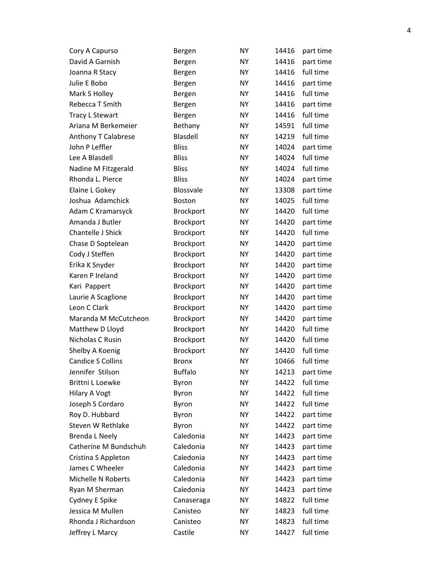| Cory A Capurso           | Bergen           | <b>NY</b> | 14416 | part time |
|--------------------------|------------------|-----------|-------|-----------|
| David A Garnish          | Bergen           | <b>NY</b> | 14416 | part time |
| Joanna R Stacy           | Bergen           | <b>NY</b> | 14416 | full time |
| Julie E Bobo             | Bergen           | <b>NY</b> | 14416 | part time |
| Mark S Holley            | Bergen           | <b>NY</b> | 14416 | full time |
| Rebecca T Smith          | Bergen           | <b>NY</b> | 14416 | part time |
| <b>Tracy L Stewart</b>   | Bergen           | <b>NY</b> | 14416 | full time |
| Ariana M Berkemeier      | Bethany          | <b>NY</b> | 14591 | full time |
| Anthony T Calabrese      | Blasdell         | <b>NY</b> | 14219 | full time |
| John P Leffler           | <b>Bliss</b>     | <b>NY</b> | 14024 | part time |
| Lee A Blasdell           | <b>Bliss</b>     | <b>NY</b> | 14024 | full time |
| Nadine M Fitzgerald      | <b>Bliss</b>     | <b>NY</b> | 14024 | full time |
| Rhonda L. Pierce         | <b>Bliss</b>     | <b>NY</b> | 14024 | part time |
| Elaine L Gokey           | Blossvale        | <b>NY</b> | 13308 | part time |
| Joshua Adamchick         | <b>Boston</b>    | <b>NY</b> | 14025 | full time |
| Adam C Kramarsyck        | <b>Brockport</b> | <b>NY</b> | 14420 | full time |
| Amanda J Butler          | <b>Brockport</b> | <b>NY</b> | 14420 | part time |
| Chantelle J Shick        | Brockport        | <b>NY</b> | 14420 | full time |
| Chase D Soptelean        | <b>Brockport</b> | <b>NY</b> | 14420 | part time |
| Cody J Steffen           | Brockport        | <b>NY</b> | 14420 | part time |
| Erika K Snyder           | <b>Brockport</b> | <b>NY</b> | 14420 | part time |
| Karen P Ireland          | Brockport        | <b>NY</b> | 14420 | part time |
| Kari Pappert             | <b>Brockport</b> | <b>NY</b> | 14420 | part time |
| Laurie A Scaglione       | Brockport        | <b>NY</b> | 14420 | part time |
| Leon C Clark             | <b>Brockport</b> | NΥ        | 14420 | part time |
| Maranda M McCutcheon     | <b>Brockport</b> | NΥ        | 14420 | part time |
| Matthew D Lloyd          | <b>Brockport</b> | <b>NY</b> | 14420 | full time |
| Nicholas C Rusin         | Brockport        | <b>NY</b> | 14420 | full time |
| Shelby A Koenig          | Brockport        | NΥ        | 14420 | full time |
| <b>Candice S Collins</b> | <b>Bronx</b>     | <b>NY</b> | 10466 | full time |
| Jennifer Stilson         | <b>Buffalo</b>   | NΥ        | 14213 | part time |
| Brittni L Loewke         | Byron            | <b>NY</b> | 14422 | full time |
| <b>Hilary A Vogt</b>     | Byron            | <b>NY</b> | 14422 | full time |
| Joseph S Cordaro         | Byron            | <b>NY</b> | 14422 | full time |
| Roy D. Hubbard           | Byron            | NΥ        | 14422 | part time |
| Steven W Rethlake        | Byron            | <b>NY</b> | 14422 | part time |
| <b>Brenda L Neely</b>    | Caledonia        | NΥ        | 14423 | part time |
| Catherine M Bundschuh    | Caledonia        | <b>NY</b> | 14423 | part time |
| Cristina S Appleton      | Caledonia        | NΥ        | 14423 | part time |
| James C Wheeler          | Caledonia        | NΥ        | 14423 | part time |
| Michelle N Roberts       | Caledonia        | NΥ        | 14423 | part time |
| Ryan M Sherman           | Caledonia        | <b>NY</b> | 14423 | part time |
| Cydney E Spike           | Canaseraga       | NΥ        | 14822 | full time |
| Jessica M Mullen         | Canisteo         | NΥ        | 14823 | full time |
| Rhonda J Richardson      | Canisteo         | NΥ        | 14823 | full time |
| Jeffrey L Marcy          | Castile          | <b>NY</b> | 14427 | full time |
|                          |                  |           |       |           |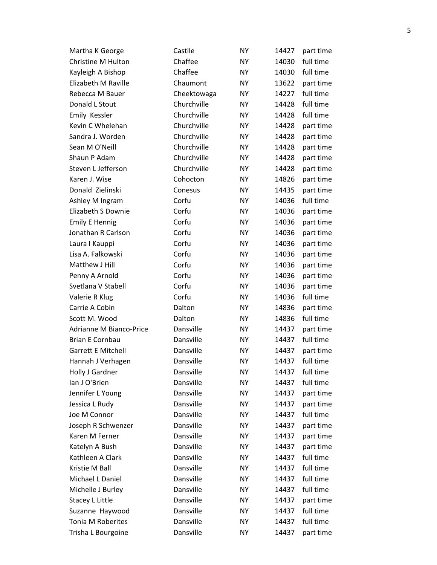| Martha K George           | Castile     | <b>NY</b> | 14427 | part time |
|---------------------------|-------------|-----------|-------|-----------|
| Christine M Hulton        | Chaffee     | <b>NY</b> | 14030 | full time |
| Kayleigh A Bishop         | Chaffee     | <b>NY</b> | 14030 | full time |
| Elizabeth M Raville       | Chaumont    | <b>NY</b> | 13622 | part time |
| Rebecca M Bauer           | Cheektowaga | <b>NY</b> | 14227 | full time |
| Donald L Stout            | Churchville | NY.       | 14428 | full time |
| Emily Kessler             | Churchville | NY.       | 14428 | full time |
| Kevin C Whelehan          | Churchville | <b>NY</b> | 14428 | part time |
| Sandra J. Worden          | Churchville | NY.       | 14428 | part time |
| Sean M O'Neill            | Churchville | NY.       | 14428 | part time |
| Shaun P Adam              | Churchville | NY.       | 14428 | part time |
| Steven L Jefferson        | Churchville | <b>NY</b> | 14428 | part time |
| Karen J. Wise             | Cohocton    | NY.       | 14826 | part time |
| Donald Zielinski          | Conesus     | NY.       | 14435 | part time |
| Ashley M Ingram           | Corfu       | NY.       | 14036 | full time |
| Elizabeth S Downie        | Corfu       | <b>NY</b> | 14036 | part time |
| <b>Emily E Hennig</b>     | Corfu       | NY.       | 14036 | part time |
| Jonathan R Carlson        | Corfu       | NY.       | 14036 | part time |
| Laura I Kauppi            | Corfu       | <b>NY</b> | 14036 | part time |
| Lisa A. Falkowski         | Corfu       | <b>NY</b> | 14036 | part time |
| Matthew J Hill            | Corfu       | NY.       | 14036 | part time |
| Penny A Arnold            | Corfu       | <b>NY</b> | 14036 | part time |
| Svetlana V Stabell        | Corfu       | <b>NY</b> | 14036 | part time |
| Valerie R Klug            | Corfu       | <b>NY</b> | 14036 | full time |
| Carrie A Cobin            | Dalton      | NY.       | 14836 | part time |
| Scott M. Wood             | Dalton      | <b>NY</b> | 14836 | full time |
| Adrianne M Bianco-Price   | Dansville   | NY.       | 14437 | part time |
| <b>Brian E Cornbau</b>    | Dansville   | <b>NY</b> | 14437 | full time |
| <b>Garrett E Mitchell</b> | Dansville   | ΝY        | 14437 | part time |
| Hannah J Verhagen         | Dansville   | <b>NY</b> | 14437 | full time |
| Holly J Gardner           | Dansville   | <b>NY</b> | 14437 | full time |
| lan J O'Brien             | Dansville   | <b>NY</b> | 14437 | full time |
| Jennifer L Young          | Dansville   | <b>NY</b> | 14437 | part time |
| Jessica L Rudy            | Dansville   | <b>NY</b> | 14437 | part time |
| Joe M Connor              | Dansville   | <b>NY</b> | 14437 | full time |
| Joseph R Schwenzer        | Dansville   | <b>NY</b> | 14437 | part time |
| Karen M Ferner            | Dansville   | <b>NY</b> | 14437 | part time |
| Katelyn A Bush            | Dansville   | <b>NY</b> | 14437 | part time |
| Kathleen A Clark          | Dansville   | <b>NY</b> | 14437 | full time |
| Kristie M Ball            | Dansville   | <b>NY</b> | 14437 | full time |
| Michael L Daniel          | Dansville   | <b>NY</b> | 14437 | full time |
| Michelle J Burley         | Dansville   | <b>NY</b> | 14437 | full time |
| <b>Stacey L Little</b>    | Dansville   | NY.       | 14437 | part time |
| Suzanne Haywood           | Dansville   | <b>NY</b> | 14437 | full time |
| Tonia M Roberites         | Dansville   | <b>NY</b> | 14437 | full time |
| Trisha L Bourgoine        | Dansville   | <b>NY</b> | 14437 | part time |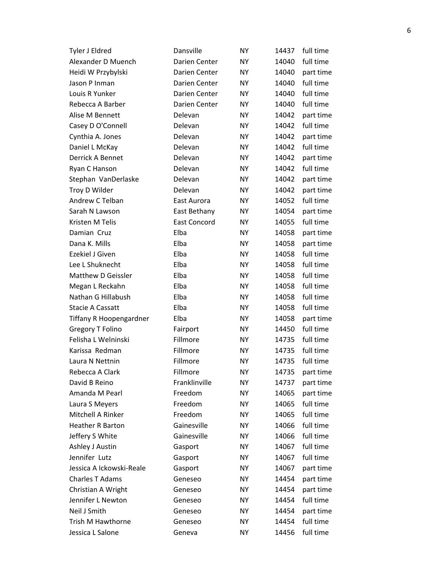| Tyler J Eldred           | Dansville           | <b>NY</b> | 14437 | full time |
|--------------------------|---------------------|-----------|-------|-----------|
| Alexander D Muench       | Darien Center       | <b>NY</b> | 14040 | full time |
| Heidi W Przybylski       | Darien Center       | <b>NY</b> | 14040 | part time |
| Jason P Inman            | Darien Center       | <b>NY</b> | 14040 | full time |
| Louis R Yunker           | Darien Center       | NY.       | 14040 | full time |
| Rebecca A Barber         | Darien Center       | <b>NY</b> | 14040 | full time |
| Alise M Bennett          | Delevan             | <b>NY</b> | 14042 | part time |
| Casey D O'Connell        | Delevan             | <b>NY</b> | 14042 | full time |
| Cynthia A. Jones         | Delevan             | NY.       | 14042 | part time |
| Daniel L McKay           | Delevan             | <b>NY</b> | 14042 | full time |
| Derrick A Bennet         | Delevan             | <b>NY</b> | 14042 | part time |
| Ryan C Hanson            | Delevan             | <b>NY</b> | 14042 | full time |
| Stephan VanDerlaske      | Delevan             | NY.       | 14042 | part time |
| Troy D Wilder            | Delevan             | <b>NY</b> | 14042 | part time |
| Andrew C Telban          | East Aurora         | <b>NY</b> | 14052 | full time |
| Sarah N Lawson           | East Bethany        | <b>NY</b> | 14054 | part time |
| Kristen M Telis          | <b>East Concord</b> | NY.       | 14055 | full time |
| Damian Cruz              | Elba                | <b>NY</b> | 14058 | part time |
| Dana K. Mills            | Elba                | <b>NY</b> | 14058 | part time |
| Ezekiel J Given          | Elba                | <b>NY</b> | 14058 | full time |
| Lee L Shuknecht          | Elba                | <b>NY</b> | 14058 | full time |
| Matthew D Geissler       | Elba                | <b>NY</b> | 14058 | full time |
| Megan L Reckahn          | Elba                | <b>NY</b> | 14058 | full time |
| Nathan G Hillabush       | Elba                | <b>NY</b> | 14058 | full time |
| <b>Stacie A Cassatt</b>  | Elba                | NY.       | 14058 | full time |
| Tiffany R Hoopengardner  | Elba                | <b>NY</b> | 14058 | part time |
| Gregory T Folino         | Fairport            | <b>NY</b> | 14450 | full time |
| Felisha L Welninski      | Fillmore            | <b>NY</b> | 14735 | full time |
| Karissa Redman           | Fillmore            | ΝY        | 14735 | full time |
| Laura N Nettnin          | Fillmore            | <b>NY</b> | 14735 | full time |
| Rebecca A Clark          | Fillmore            | NΥ        | 14735 | part time |
| David B Reino            | Franklinville       | <b>NY</b> | 14737 | part time |
| Amanda M Pearl           | Freedom             | <b>NY</b> | 14065 | part time |
| Laura S Meyers           | Freedom             | <b>NY</b> | 14065 | full time |
| Mitchell A Rinker        | Freedom             | NY.       | 14065 | full time |
| <b>Heather R Barton</b>  | Gainesville         | <b>NY</b> | 14066 | full time |
| Jeffery S White          | Gainesville         | <b>NY</b> | 14066 | full time |
| Ashley J Austin          | Gasport             | <b>NY</b> | 14067 | full time |
| Jennifer Lutz            | Gasport             | NΥ        | 14067 | full time |
| Jessica A Ickowski-Reale | Gasport             | NΥ        | 14067 | part time |
| Charles T Adams          | Geneseo             | <b>NY</b> | 14454 | part time |
| Christian A Wright       | Geneseo             | <b>NY</b> | 14454 | part time |
| Jennifer L Newton        | Geneseo             | NΥ        | 14454 | full time |
| Neil J Smith             | Geneseo             | <b>NY</b> | 14454 | part time |
| Trish M Hawthorne        | Geneseo             | NΥ        | 14454 | full time |
| Jessica L Salone         | Geneva              | NY        | 14456 | full time |
|                          |                     |           |       |           |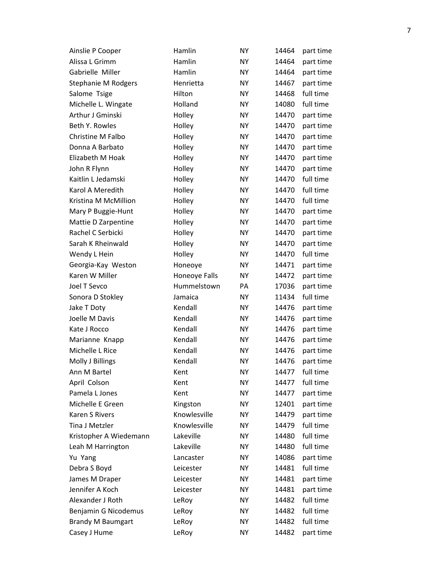| Ainslie P Cooper           | Hamlin        | <b>NY</b> | 14464 | part time |
|----------------------------|---------------|-----------|-------|-----------|
| Alissa L Grimm             | Hamlin        | <b>NY</b> | 14464 | part time |
| Gabrielle Miller           | Hamlin        | <b>NY</b> | 14464 | part time |
| <b>Stephanie M Rodgers</b> | Henrietta     | NY.       | 14467 | part time |
| Salome Tsige               | Hilton        | NY.       | 14468 | full time |
| Michelle L. Wingate        | Holland       | NY.       | 14080 | full time |
| Arthur J Gminski           | Holley        | NY.       | 14470 | part time |
| Beth Y. Rowles             | Holley        | <b>NY</b> | 14470 | part time |
| Christine M Falbo          | Holley        | <b>NY</b> | 14470 | part time |
| Donna A Barbato            | Holley        | <b>NY</b> | 14470 | part time |
| Elizabeth M Hoak           | Holley        | <b>NY</b> | 14470 | part time |
| John R Flynn               | Holley        | <b>NY</b> | 14470 | part time |
| Kaitlin L Jedamski         | Holley        | <b>NY</b> | 14470 | full time |
| Karol A Meredith           | Holley        | <b>NY</b> | 14470 | full time |
| Kristina M McMillion       | Holley        | <b>NY</b> | 14470 | full time |
| Mary P Buggie-Hunt         | Holley        | <b>NY</b> | 14470 | part time |
| Mattie D Zarpentine        | Holley        | <b>NY</b> | 14470 | part time |
| Rachel C Serbicki          | Holley        | <b>NY</b> | 14470 | part time |
| Sarah K Rheinwald          | Holley        | <b>NY</b> | 14470 | part time |
| Wendy L Hein               | Holley        | <b>NY</b> | 14470 | full time |
| Georgia-Kay Weston         | Honeoye       | <b>NY</b> | 14471 | part time |
| Karen W Miller             | Honeoye Falls | <b>NY</b> | 14472 | part time |
| Joel T Sevco               | Hummelstown   | PA        | 17036 | part time |
| Sonora D Stokley           | Jamaica       | <b>NY</b> | 11434 | full time |
| Jake T Doty                | Kendall       | <b>NY</b> | 14476 | part time |
| Joelle M Davis             | Kendall       | <b>NY</b> | 14476 | part time |
| Kate J Rocco               | Kendall       | <b>NY</b> | 14476 | part time |
| Marianne Knapp             | Kendall       | <b>NY</b> | 14476 | part time |
| Michelle L Rice            | Kendall       | <b>NY</b> | 14476 | part time |
| Molly J Billings           | Kendall       | <b>NY</b> | 14476 | part time |
| Ann M Bartel               | Kent          | <b>NY</b> | 14477 | full time |
| April Colson               | Kent          | <b>NY</b> | 14477 | full time |
| Pamela L Jones             | Kent          | <b>NY</b> | 14477 | part time |
| Michelle E Green           | Kingston      | <b>NY</b> | 12401 | part time |
| Karen S Rivers             | Knowlesville  | NY.       | 14479 | part time |
| Tina J Metzler             | Knowlesville  | NY.       | 14479 | full time |
| Kristopher A Wiedemann     | Lakeville     | NY.       | 14480 | full time |
| Leah M Harrington          | Lakeville     | <b>NY</b> | 14480 | full time |
| Yu Yang                    | Lancaster     | NY.       | 14086 | part time |
| Debra S Boyd               | Leicester     | <b>NY</b> | 14481 | full time |
| James M Draper             | Leicester     | NY.       | 14481 | part time |
| Jennifer A Koch            | Leicester     | <b>NY</b> | 14481 | part time |
| Alexander J Roth           | LeRoy         | NY.       | 14482 | full time |
| Benjamin G Nicodemus       | LeRoy         | <b>NY</b> | 14482 | full time |
| <b>Brandy M Baumgart</b>   | LeRoy         | <b>NY</b> | 14482 | full time |
| Casey J Hume               | LeRoy         | <b>NY</b> | 14482 | part time |
|                            |               |           |       |           |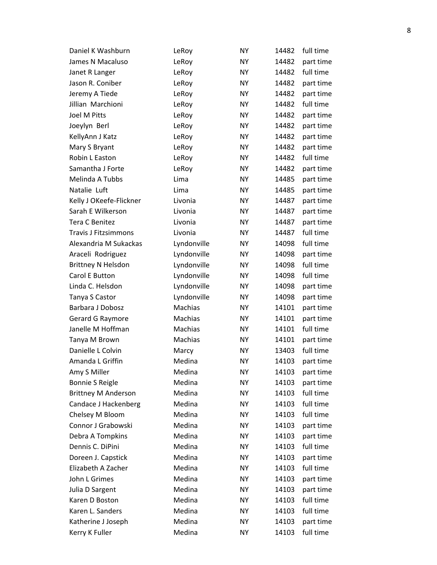| Daniel K Washburn           | LeRoy       | <b>NY</b> | 14482 | full time |
|-----------------------------|-------------|-----------|-------|-----------|
| James N Macaluso            | LeRoy       | <b>NY</b> | 14482 | part time |
| Janet R Langer              | LeRoy       | <b>NY</b> | 14482 | full time |
| Jason R. Coniber            | LeRoy       | <b>NY</b> | 14482 | part time |
| Jeremy A Tiede              | LeRoy       | <b>NY</b> | 14482 | part time |
| Jillian Marchioni           | LeRoy       | <b>NY</b> | 14482 | full time |
| Joel M Pitts                | LeRoy       | <b>NY</b> | 14482 | part time |
| Joeylyn Berl                | LeRoy       | <b>NY</b> | 14482 | part time |
| KellyAnn J Katz             | LeRoy       | <b>NY</b> | 14482 | part time |
| Mary S Bryant               | LeRoy       | <b>NY</b> | 14482 | part time |
| Robin L Easton              | LeRoy       | <b>NY</b> | 14482 | full time |
| Samantha J Forte            | LeRoy       | <b>NY</b> | 14482 | part time |
| Melinda A Tubbs             | Lima        | <b>NY</b> | 14485 | part time |
| Natalie Luft                | Lima        | <b>NY</b> | 14485 | part time |
| Kelly J OKeefe-Flickner     | Livonia     | <b>NY</b> | 14487 | part time |
| Sarah E Wilkerson           | Livonia     | <b>NY</b> | 14487 | part time |
| <b>Tera C Benitez</b>       | Livonia     | <b>NY</b> | 14487 | part time |
| <b>Travis J Fitzsimmons</b> | Livonia     | <b>NY</b> | 14487 | full time |
| Alexandria M Sukackas       | Lyndonville | <b>NY</b> | 14098 | full time |
| Araceli Rodriguez           | Lyndonville | <b>NY</b> | 14098 | part time |
| Brittney N Helsdon          | Lyndonville | <b>NY</b> | 14098 | full time |
| Carol E Button              | Lyndonville | <b>NY</b> | 14098 | full time |
| Linda C. Helsdon            | Lyndonville | <b>NY</b> | 14098 | part time |
| Tanya S Castor              | Lyndonville | <b>NY</b> | 14098 | part time |
| Barbara J Dobosz            | Machias     | <b>NY</b> | 14101 | part time |
| Gerard G Raymore            | Machias     | <b>NY</b> | 14101 | part time |
| Janelle M Hoffman           | Machias     | <b>NY</b> | 14101 | full time |
| Tanya M Brown               | Machias     | <b>NY</b> | 14101 | part time |
| Danielle L Colvin           | Marcy       | <b>NY</b> | 13403 | full time |
| Amanda L Griffin            | Medina      | <b>NY</b> | 14103 | part time |
| Amy S Miller                | Medina      | NΥ        | 14103 | part time |
| <b>Bonnie S Reigle</b>      | Medina      | <b>NY</b> | 14103 | part time |
| <b>Brittney M Anderson</b>  | Medina      | <b>NY</b> | 14103 | full time |
| Candace J Hackenberg        | Medina      | <b>NY</b> | 14103 | full time |
| Chelsey M Bloom             | Medina      | <b>NY</b> | 14103 | full time |
| Connor J Grabowski          | Medina      | <b>NY</b> | 14103 | part time |
| Debra A Tompkins            | Medina      | <b>NY</b> | 14103 | part time |
| Dennis C. DiPini            | Medina      | <b>NY</b> | 14103 | full time |
| Doreen J. Capstick          | Medina      | <b>NY</b> | 14103 | part time |
| Elizabeth A Zacher          | Medina      | <b>NY</b> | 14103 | full time |
| John L Grimes               | Medina      | <b>NY</b> | 14103 | part time |
| Julia D Sargent             | Medina      | <b>NY</b> | 14103 | part time |
| Karen D Boston              | Medina      | <b>NY</b> | 14103 | full time |
| Karen L. Sanders            | Medina      | <b>NY</b> | 14103 | full time |
| Katherine J Joseph          | Medina      | <b>NY</b> | 14103 | part time |
| Kerry K Fuller              | Medina      | <b>NY</b> | 14103 | full time |
|                             |             |           |       |           |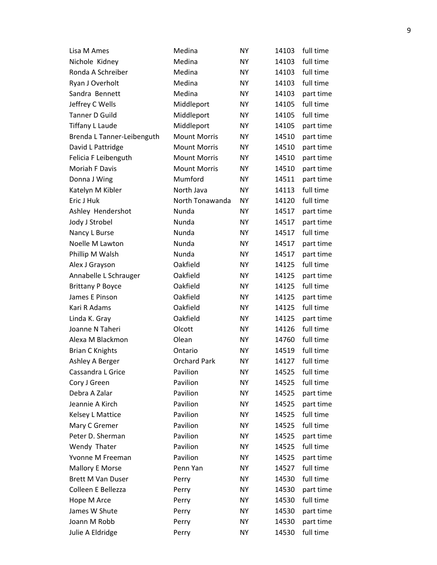| Lisa M Ames                | Medina              | <b>NY</b> | 14103 | full time |
|----------------------------|---------------------|-----------|-------|-----------|
| Nichole Kidney             | Medina              | <b>NY</b> | 14103 | full time |
| Ronda A Schreiber          | Medina              | <b>NY</b> | 14103 | full time |
| Ryan J Overholt            | Medina              | <b>NY</b> | 14103 | full time |
| Sandra Bennett             | Medina              | NY.       | 14103 | part time |
| Jeffrey C Wells            | Middleport          | <b>NY</b> | 14105 | full time |
| <b>Tanner D Guild</b>      | Middleport          | <b>NY</b> | 14105 | full time |
| <b>Tiffany L Laude</b>     | Middleport          | <b>NY</b> | 14105 | part time |
| Brenda L Tanner-Leibenguth | <b>Mount Morris</b> | <b>NY</b> | 14510 | part time |
| David L Pattridge          | <b>Mount Morris</b> | <b>NY</b> | 14510 | part time |
| Felicia F Leibenguth       | <b>Mount Morris</b> | <b>NY</b> | 14510 | part time |
| Moriah F Davis             | <b>Mount Morris</b> | <b>NY</b> | 14510 | part time |
| Donna J Wing               | Mumford             | <b>NY</b> | 14511 | part time |
| Katelyn M Kibler           | North Java          | <b>NY</b> | 14113 | full time |
| Eric J Huk                 | North Tonawanda     | <b>NY</b> | 14120 | full time |
| Ashley Hendershot          | Nunda               | <b>NY</b> | 14517 | part time |
| Jody J Strobel             | Nunda               | NY.       | 14517 | part time |
| Nancy L Burse              | Nunda               | <b>NY</b> | 14517 | full time |
| Noelle M Lawton            | Nunda               | <b>NY</b> | 14517 | part time |
| Phillip M Walsh            | Nunda               | <b>NY</b> | 14517 | part time |
| Alex J Grayson             | Oakfield            | NY.       | 14125 | full time |
| Annabelle L Schrauger      | Oakfield            | <b>NY</b> | 14125 | part time |
| <b>Brittany P Boyce</b>    | Oakfield            | <b>NY</b> | 14125 | full time |
| James E Pinson             | Oakfield            | <b>NY</b> | 14125 | part time |
| Kari R Adams               | Oakfield            | <b>NY</b> | 14125 | full time |
| Linda K. Gray              | Oakfield            | <b>NY</b> | 14125 | part time |
| Joanne N Taheri            | Olcott              | <b>NY</b> | 14126 | full time |
| Alexa M Blackmon           | Olean               | <b>NY</b> | 14760 | full time |
| <b>Brian C Knights</b>     | Ontario             | <b>NY</b> | 14519 | full time |
| Ashley A Berger            | <b>Orchard Park</b> | <b>NY</b> | 14127 | full time |
| Cassandra L Grice          | Pavilion            | <b>NY</b> | 14525 | full time |
| Cory J Green               | Pavilion            | <b>NY</b> | 14525 | full time |
| Debra A Zalar              | Pavilion            | <b>NY</b> | 14525 | part time |
| Jeannie A Kirch            | Pavilion            | <b>NY</b> | 14525 | part time |
| Kelsey L Mattice           | Pavilion            | <b>NY</b> | 14525 | full time |
| Mary C Gremer              | Pavilion            | <b>NY</b> | 14525 | full time |
| Peter D. Sherman           | Pavilion            | <b>NY</b> | 14525 | part time |
| Wendy Thater               | Pavilion            | <b>NY</b> | 14525 | full time |
| Yvonne M Freeman           | Pavilion            | <b>NY</b> | 14525 | part time |
| <b>Mallory E Morse</b>     | Penn Yan            | <b>NY</b> | 14527 | full time |
| <b>Brett M Van Duser</b>   | Perry               | <b>NY</b> | 14530 | full time |
| Colleen E Bellezza         | Perry               | <b>NY</b> | 14530 | part time |
| Hope M Arce                | Perry               | <b>NY</b> | 14530 | full time |
| James W Shute              | Perry               | <b>NY</b> | 14530 | part time |
| Joann M Robb               | Perry               | <b>NY</b> | 14530 | part time |
| Julie A Eldridge           | Perry               | <b>NY</b> | 14530 | full time |
|                            |                     |           |       |           |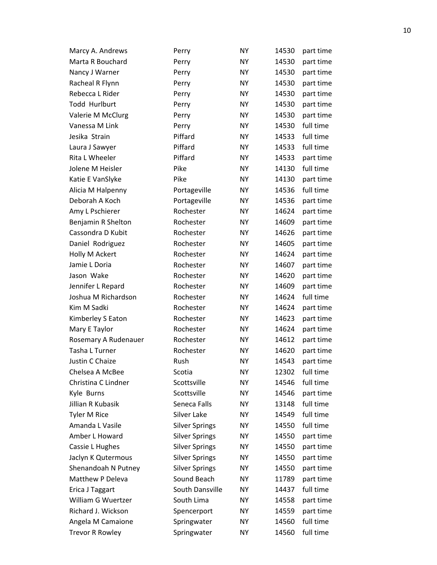| Marcy A. Andrews       | Perry                 | <b>NY</b> | 14530 | part time |
|------------------------|-----------------------|-----------|-------|-----------|
| Marta R Bouchard       | Perry                 | <b>NY</b> | 14530 | part time |
| Nancy J Warner         | Perry                 | <b>NY</b> | 14530 | part time |
| Racheal R Flynn        | Perry                 | <b>NY</b> | 14530 | part time |
| Rebecca L Rider        | Perry                 | <b>NY</b> | 14530 | part time |
| Todd Hurlburt          | Perry                 | <b>NY</b> | 14530 | part time |
| Valerie M McClurg      | Perry                 | <b>NY</b> | 14530 | part time |
| Vanessa M Link         | Perry                 | <b>NY</b> | 14530 | full time |
| Jesika Strain          | Piffard               | <b>NY</b> | 14533 | full time |
| Laura J Sawyer         | Piffard               | <b>NY</b> | 14533 | full time |
| Rita L Wheeler         | Piffard               | <b>NY</b> | 14533 | part time |
| Jolene M Heisler       | Pike                  | <b>NY</b> | 14130 | full time |
| Katie E VanSlyke       | Pike                  | <b>NY</b> | 14130 | part time |
| Alicia M Halpenny      | Portageville          | <b>NY</b> | 14536 | full time |
| Deborah A Koch         | Portageville          | <b>NY</b> | 14536 | part time |
| Amy L Pschierer        | Rochester             | <b>NY</b> | 14624 | part time |
| Benjamin R Shelton     | Rochester             | <b>NY</b> | 14609 | part time |
| Cassondra D Kubit      | Rochester             | <b>NY</b> | 14626 | part time |
| Daniel Rodriguez       | Rochester             | <b>NY</b> | 14605 | part time |
| Holly M Ackert         | Rochester             | <b>NY</b> | 14624 | part time |
| Jamie L Doria          | Rochester             | <b>NY</b> | 14607 | part time |
| Jason Wake             | Rochester             | <b>NY</b> | 14620 | part time |
| Jennifer L Repard      | Rochester             | <b>NY</b> | 14609 | part time |
| Joshua M Richardson    | Rochester             | <b>NY</b> | 14624 | full time |
| Kim M Sadki            | Rochester             | <b>NY</b> | 14624 | part time |
| Kimberley S Eaton      | Rochester             | <b>NY</b> | 14623 | part time |
| Mary E Taylor          | Rochester             | <b>NY</b> | 14624 | part time |
| Rosemary A Rudenauer   | Rochester             | <b>NY</b> | 14612 | part time |
| Tasha L Turner         | Rochester             | NΥ        | 14620 | part time |
| Justin C Chaize        | Rush                  | <b>NY</b> | 14543 | part time |
| Chelsea A McBee        | Scotia                | ΝY        | 12302 | full time |
| Christina C Lindner    | Scottsville           | <b>NY</b> | 14546 | full time |
| Kyle Burns             | Scottsville           | <b>NY</b> | 14546 | part time |
| Jillian R Kubasik      | Seneca Falls          | <b>NY</b> | 13148 | full time |
| <b>Tyler M Rice</b>    | Silver Lake           | <b>NY</b> | 14549 | full time |
| Amanda L Vasile        | <b>Silver Springs</b> | <b>NY</b> | 14550 | full time |
| Amber L Howard         | <b>Silver Springs</b> | NΥ        | 14550 | part time |
| Cassie L Hughes        | <b>Silver Springs</b> | <b>NY</b> | 14550 | part time |
| Jaclyn K Qutermous     | <b>Silver Springs</b> | NΥ        | 14550 | part time |
| Shenandoah N Putney    | <b>Silver Springs</b> | <b>NY</b> | 14550 | part time |
| Matthew P Deleva       | Sound Beach           | NΥ        | 11789 | part time |
| Erica J Taggart        | South Dansville       | <b>NY</b> | 14437 | full time |
| William G Wuertzer     | South Lima            | NΥ        | 14558 | part time |
| Richard J. Wickson     | Spencerport           | NΥ        | 14559 | part time |
| Angela M Camaione      | Springwater           | <b>NY</b> | 14560 | full time |
| <b>Trevor R Rowley</b> | Springwater           | <b>NY</b> | 14560 | full time |
|                        |                       |           |       |           |